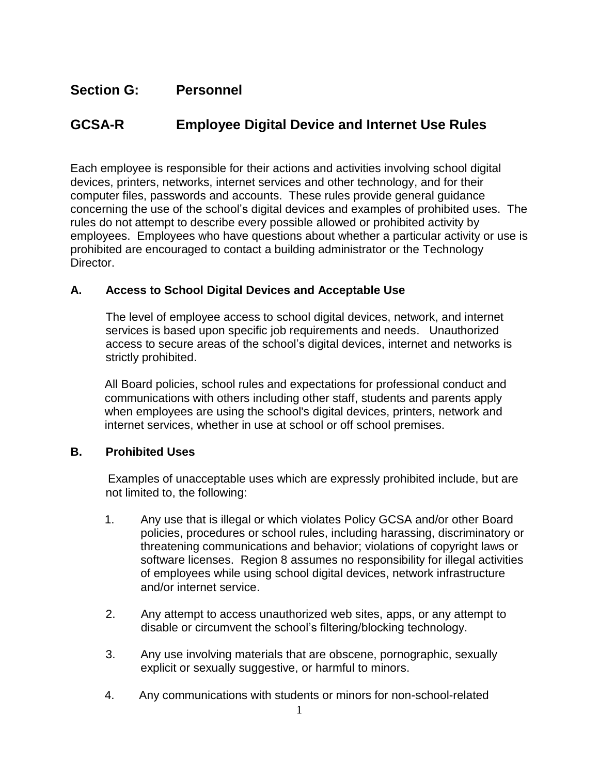# **Section G: Personnel**

# **GCSA-R Employee Digital Device and Internet Use Rules**

Each employee is responsible for their actions and activities involving school digital devices, printers, networks, internet services and other technology, and for their computer files, passwords and accounts. These rules provide general guidance concerning the use of the school's digital devices and examples of prohibited uses. The rules do not attempt to describe every possible allowed or prohibited activity by employees. Employees who have questions about whether a particular activity or use is prohibited are encouraged to contact a building administrator or the Technology Director.

## **A. Access to School Digital Devices and Acceptable Use**

The level of employee access to school digital devices, network, and internet services is based upon specific job requirements and needs. Unauthorized access to secure areas of the school's digital devices, internet and networks is strictly prohibited.

All Board policies, school rules and expectations for professional conduct and communications with others including other staff, students and parents apply when employees are using the school's digital devices, printers, network and internet services, whether in use at school or off school premises.

## **B. Prohibited Uses**

Examples of unacceptable uses which are expressly prohibited include, but are not limited to, the following:

- 1. Any use that is illegal or which violates Policy GCSA and/or other Board policies, procedures or school rules, including harassing, discriminatory or threatening communications and behavior; violations of copyright laws or software licenses. Region 8 assumes no responsibility for illegal activities of employees while using school digital devices, network infrastructure and/or internet service.
- 2. Any attempt to access unauthorized web sites, apps, or any attempt to disable or circumvent the school's filtering/blocking technology.
- 3. Any use involving materials that are obscene, pornographic, sexually explicit or sexually suggestive, or harmful to minors.
- 4. Any communications with students or minors for non-school-related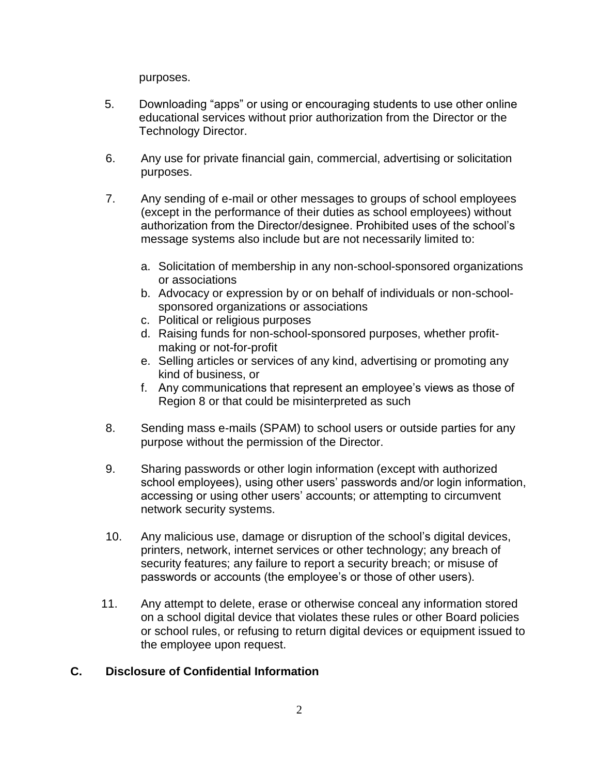purposes.

- 5. Downloading "apps" or using or encouraging students to use other online educational services without prior authorization from the Director or the Technology Director.
- 6. Any use for private financial gain, commercial, advertising or solicitation purposes.
- 7. Any sending of e-mail or other messages to groups of school employees (except in the performance of their duties as school employees) without authorization from the Director/designee. Prohibited uses of the school's message systems also include but are not necessarily limited to:
	- a. Solicitation of membership in any non-school-sponsored organizations or associations
	- b. Advocacy or expression by or on behalf of individuals or non-schoolsponsored organizations or associations
	- c. Political or religious purposes
	- d. Raising funds for non-school-sponsored purposes, whether profitmaking or not-for-profit
	- e. Selling articles or services of any kind, advertising or promoting any kind of business, or
	- f. Any communications that represent an employee's views as those of Region 8 or that could be misinterpreted as such
- 8. Sending mass e-mails (SPAM) to school users or outside parties for any purpose without the permission of the Director.
- 9. Sharing passwords or other login information (except with authorized school employees), using other users' passwords and/or login information, accessing or using other users' accounts; or attempting to circumvent network security systems.
- 10. Any malicious use, damage or disruption of the school's digital devices, printers, network, internet services or other technology; any breach of security features; any failure to report a security breach; or misuse of passwords or accounts (the employee's or those of other users).
- 11. Any attempt to delete, erase or otherwise conceal any information stored on a school digital device that violates these rules or other Board policies or school rules, or refusing to return digital devices or equipment issued to the employee upon request.

## **C. Disclosure of Confidential Information**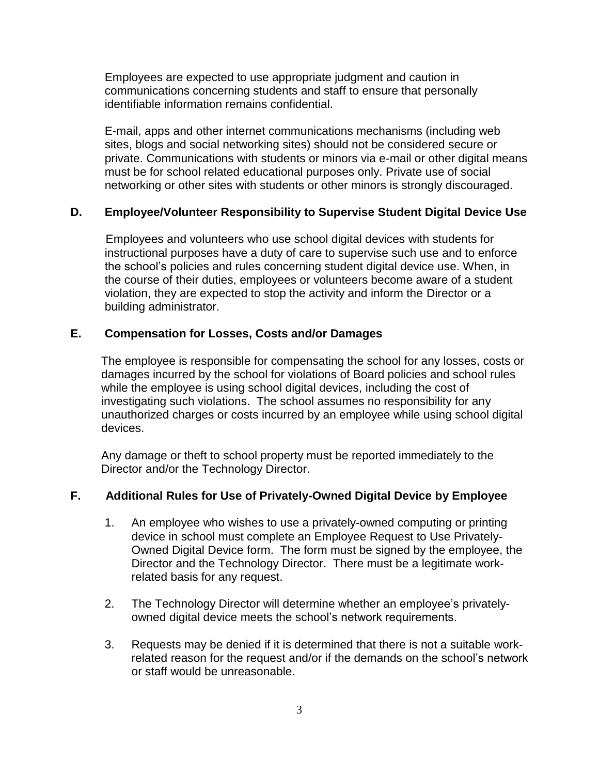Employees are expected to use appropriate judgment and caution in communications concerning students and staff to ensure that personally identifiable information remains confidential.

E-mail, apps and other internet communications mechanisms (including web sites, blogs and social networking sites) should not be considered secure or private. Communications with students or minors via e-mail or other digital means must be for school related educational purposes only. Private use of social networking or other sites with students or other minors is strongly discouraged.

## **D. Employee/Volunteer Responsibility to Supervise Student Digital Device Use**

Employees and volunteers who use school digital devices with students for instructional purposes have a duty of care to supervise such use and to enforce the school's policies and rules concerning student digital device use. When, in the course of their duties, employees or volunteers become aware of a student violation, they are expected to stop the activity and inform the Director or a building administrator.

## **E. Compensation for Losses, Costs and/or Damages**

The employee is responsible for compensating the school for any losses, costs or damages incurred by the school for violations of Board policies and school rules while the employee is using school digital devices, including the cost of investigating such violations. The school assumes no responsibility for any unauthorized charges or costs incurred by an employee while using school digital devices.

Any damage or theft to school property must be reported immediately to the Director and/or the Technology Director.

## **F. Additional Rules for Use of Privately-Owned Digital Device by Employee**

- 1. An employee who wishes to use a privately-owned computing or printing device in school must complete an Employee Request to Use Privately-Owned Digital Device form. The form must be signed by the employee, the Director and the Technology Director. There must be a legitimate workrelated basis for any request.
- 2. The Technology Director will determine whether an employee's privatelyowned digital device meets the school's network requirements.
- 3. Requests may be denied if it is determined that there is not a suitable workrelated reason for the request and/or if the demands on the school's network or staff would be unreasonable.